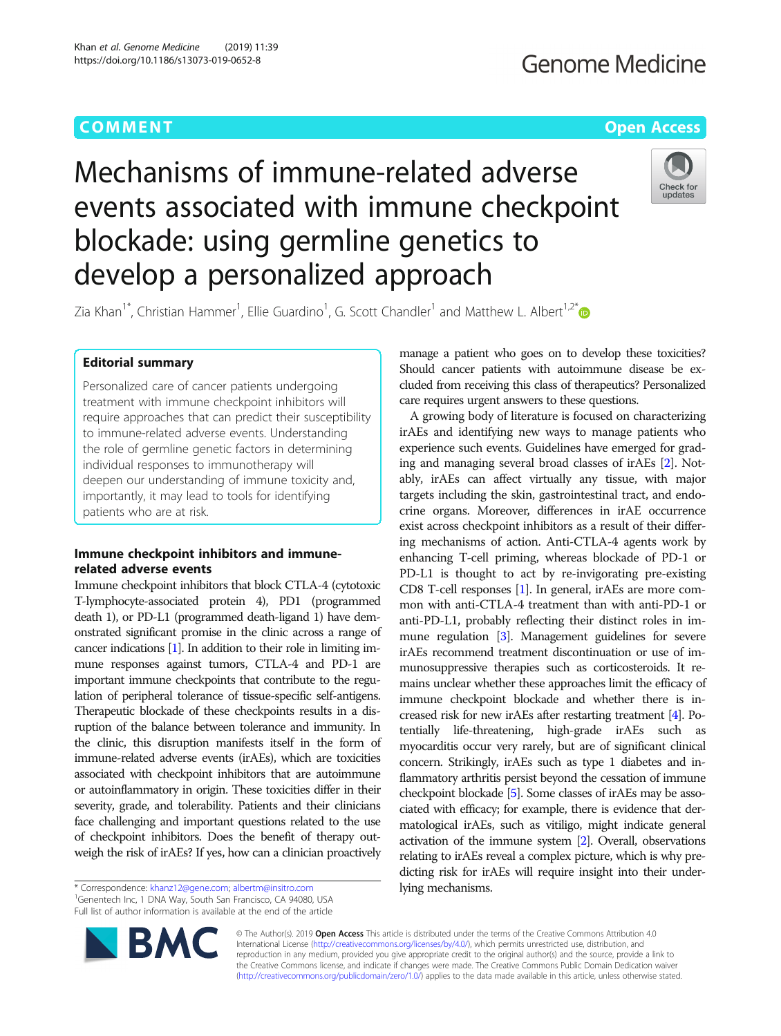# **COMMENT COMMENT COMMENT**

# Mechanisms of immune-related adverse events associated with immune checkpoint blockade: using germline genetics to develop a personalized approach



Zia Khan<sup>1[\\*](http://orcid.org/0000-0001-7285-6973)</sup>, Christian Hammer<sup>1</sup>, Ellie Guardino<sup>1</sup>, G. Scott Chandler<sup>1</sup> and Matthew L. Albert<sup>1,2\*</sup>

# Editorial summary

Personalized care of cancer patients undergoing treatment with immune checkpoint inhibitors will require approaches that can predict their susceptibility to immune-related adverse events. Understanding the role of germline genetic factors in determining individual responses to immunotherapy will deepen our understanding of immune toxicity and, importantly, it may lead to tools for identifying patients who are at risk.

# Immune checkpoint inhibitors and immunerelated adverse events

Immune checkpoint inhibitors that block CTLA-4 (cytotoxic T-lymphocyte-associated protein 4), PD1 (programmed death 1), or PD-L1 (programmed death-ligand 1) have demonstrated significant promise in the clinic across a range of cancer indications [\[1\]](#page-2-0). In addition to their role in limiting immune responses against tumors, CTLA-4 and PD-1 are important immune checkpoints that contribute to the regulation of peripheral tolerance of tissue-specific self-antigens. Therapeutic blockade of these checkpoints results in a disruption of the balance between tolerance and immunity. In the clinic, this disruption manifests itself in the form of immune-related adverse events (irAEs), which are toxicities associated with checkpoint inhibitors that are autoimmune or autoinflammatory in origin. These toxicities differ in their severity, grade, and tolerability. Patients and their clinicians face challenging and important questions related to the use of checkpoint inhibitors. Does the benefit of therapy outweigh the risk of irAEs? If yes, how can a clinician proactively

\* Correspondence: [khanz12@gene.com](mailto:khanz12@gene.com); [albertm@insitro.com](mailto:albertm@insitro.com) <sup>1</sup>

<sup>1</sup>Genentech Inc, 1 DNA Way, South San Francisco, CA 94080, USA Full list of author information is available at the end of the article

manage a patient who goes on to develop these toxicities? Should cancer patients with autoimmune disease be excluded from receiving this class of therapeutics? Personalized care requires urgent answers to these questions.

A growing body of literature is focused on characterizing irAEs and identifying new ways to manage patients who experience such events. Guidelines have emerged for grading and managing several broad classes of irAEs [[2](#page-2-0)]. Notably, irAEs can affect virtually any tissue, with major targets including the skin, gastrointestinal tract, and endocrine organs. Moreover, differences in irAE occurrence exist across checkpoint inhibitors as a result of their differing mechanisms of action. Anti-CTLA-4 agents work by enhancing T-cell priming, whereas blockade of PD-1 or PD-L1 is thought to act by re-invigorating pre-existing CD8 T-cell responses [\[1\]](#page-2-0). In general, irAEs are more common with anti-CTLA-4 treatment than with anti-PD-1 or anti-PD-L1, probably reflecting their distinct roles in immune regulation [[3](#page-2-0)]. Management guidelines for severe irAEs recommend treatment discontinuation or use of immunosuppressive therapies such as corticosteroids. It remains unclear whether these approaches limit the efficacy of immune checkpoint blockade and whether there is increased risk for new irAEs after restarting treatment [[4](#page-2-0)]. Potentially life-threatening, high-grade irAEs such as myocarditis occur very rarely, but are of significant clinical concern. Strikingly, irAEs such as type 1 diabetes and inflammatory arthritis persist beyond the cessation of immune checkpoint blockade [\[5](#page-2-0)]. Some classes of irAEs may be associated with efficacy; for example, there is evidence that dermatological irAEs, such as vitiligo, might indicate general activation of the immune system [\[2](#page-2-0)]. Overall, observations relating to irAEs reveal a complex picture, which is why predicting risk for irAEs will require insight into their underlying mechanisms.



© The Author(s). 2019 Open Access This article is distributed under the terms of the Creative Commons Attribution 4.0 International License [\(http://creativecommons.org/licenses/by/4.0/](http://creativecommons.org/licenses/by/4.0/)), which permits unrestricted use, distribution, and reproduction in any medium, provided you give appropriate credit to the original author(s) and the source, provide a link to the Creative Commons license, and indicate if changes were made. The Creative Commons Public Domain Dedication waiver [\(http://creativecommons.org/publicdomain/zero/1.0/](http://creativecommons.org/publicdomain/zero/1.0/)) applies to the data made available in this article, unless otherwise stated.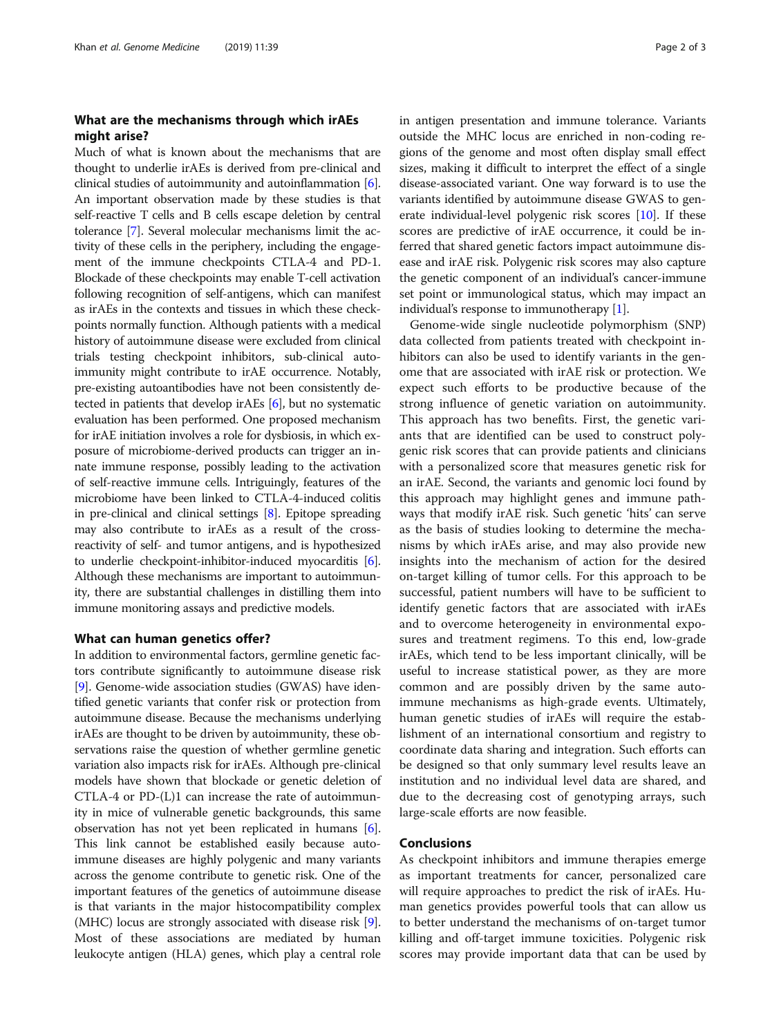# What are the mechanisms through which irAEs might arise?

Much of what is known about the mechanisms that are thought to underlie irAEs is derived from pre-clinical and clinical studies of autoimmunity and autoinflammation [[6](#page-2-0)]. An important observation made by these studies is that self-reactive T cells and B cells escape deletion by central tolerance [[7](#page-2-0)]. Several molecular mechanisms limit the activity of these cells in the periphery, including the engagement of the immune checkpoints CTLA-4 and PD-1. Blockade of these checkpoints may enable T-cell activation following recognition of self-antigens, which can manifest as irAEs in the contexts and tissues in which these checkpoints normally function. Although patients with a medical history of autoimmune disease were excluded from clinical trials testing checkpoint inhibitors, sub-clinical autoimmunity might contribute to irAE occurrence. Notably, pre-existing autoantibodies have not been consistently detected in patients that develop irAEs [[6](#page-2-0)], but no systematic evaluation has been performed. One proposed mechanism for irAE initiation involves a role for dysbiosis, in which exposure of microbiome-derived products can trigger an innate immune response, possibly leading to the activation of self-reactive immune cells. Intriguingly, features of the microbiome have been linked to CTLA-4-induced colitis in pre-clinical and clinical settings [\[8\]](#page-2-0). Epitope spreading may also contribute to irAEs as a result of the crossreactivity of self- and tumor antigens, and is hypothesized to underlie checkpoint-inhibitor-induced myocarditis [[6](#page-2-0)]. Although these mechanisms are important to autoimmunity, there are substantial challenges in distilling them into immune monitoring assays and predictive models.

### What can human genetics offer?

In addition to environmental factors, germline genetic factors contribute significantly to autoimmune disease risk [[9\]](#page-2-0). Genome-wide association studies (GWAS) have identified genetic variants that confer risk or protection from autoimmune disease. Because the mechanisms underlying irAEs are thought to be driven by autoimmunity, these observations raise the question of whether germline genetic variation also impacts risk for irAEs. Although pre-clinical models have shown that blockade or genetic deletion of CTLA-4 or PD-(L)1 can increase the rate of autoimmunity in mice of vulnerable genetic backgrounds, this same observation has not yet been replicated in humans [[6](#page-2-0)]. This link cannot be established easily because autoimmune diseases are highly polygenic and many variants across the genome contribute to genetic risk. One of the important features of the genetics of autoimmune disease is that variants in the major histocompatibility complex (MHC) locus are strongly associated with disease risk [[9](#page-2-0)]. Most of these associations are mediated by human leukocyte antigen (HLA) genes, which play a central role

in antigen presentation and immune tolerance. Variants outside the MHC locus are enriched in non-coding regions of the genome and most often display small effect sizes, making it difficult to interpret the effect of a single disease-associated variant. One way forward is to use the variants identified by autoimmune disease GWAS to generate individual-level polygenic risk scores [\[10\]](#page-2-0). If these scores are predictive of irAE occurrence, it could be inferred that shared genetic factors impact autoimmune disease and irAE risk. Polygenic risk scores may also capture the genetic component of an individual's cancer-immune set point or immunological status, which may impact an individual's response to immunotherapy [\[1\]](#page-2-0).

Genome-wide single nucleotide polymorphism (SNP) data collected from patients treated with checkpoint inhibitors can also be used to identify variants in the genome that are associated with irAE risk or protection. We expect such efforts to be productive because of the strong influence of genetic variation on autoimmunity. This approach has two benefits. First, the genetic variants that are identified can be used to construct polygenic risk scores that can provide patients and clinicians with a personalized score that measures genetic risk for an irAE. Second, the variants and genomic loci found by this approach may highlight genes and immune pathways that modify irAE risk. Such genetic 'hits' can serve as the basis of studies looking to determine the mechanisms by which irAEs arise, and may also provide new insights into the mechanism of action for the desired on-target killing of tumor cells. For this approach to be successful, patient numbers will have to be sufficient to identify genetic factors that are associated with irAEs and to overcome heterogeneity in environmental exposures and treatment regimens. To this end, low-grade irAEs, which tend to be less important clinically, will be useful to increase statistical power, as they are more common and are possibly driven by the same autoimmune mechanisms as high-grade events. Ultimately, human genetic studies of irAEs will require the establishment of an international consortium and registry to coordinate data sharing and integration. Such efforts can be designed so that only summary level results leave an institution and no individual level data are shared, and due to the decreasing cost of genotyping arrays, such large-scale efforts are now feasible.

## Conclusions

As checkpoint inhibitors and immune therapies emerge as important treatments for cancer, personalized care will require approaches to predict the risk of irAEs. Human genetics provides powerful tools that can allow us to better understand the mechanisms of on-target tumor killing and off-target immune toxicities. Polygenic risk scores may provide important data that can be used by